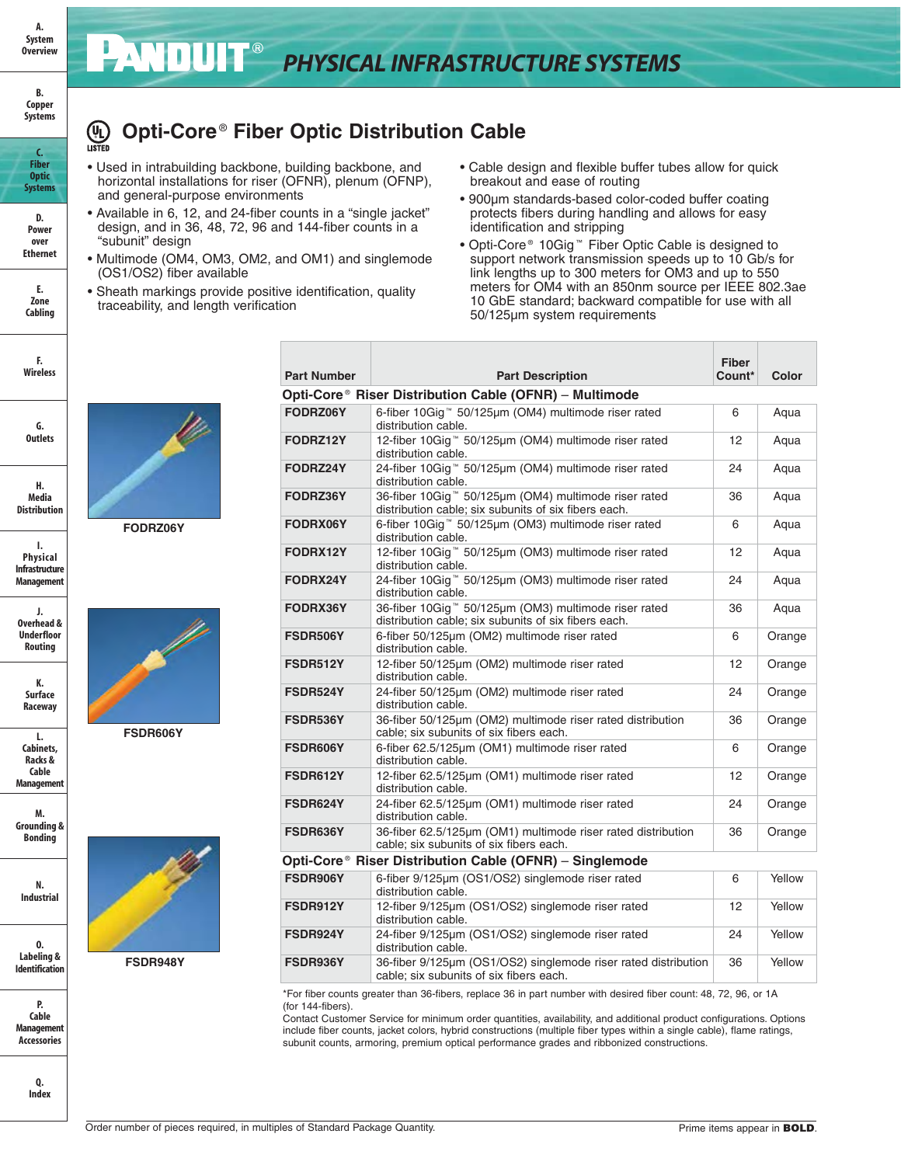## *PHYSICAL INFRASTRUCTURE SYSTEMS*

## **Opti-Core** ® **Fiber Optic Distribution Cable (UL)**<br>LISTED

- Used in intrabuilding backbone, building backbone, and horizontal installations for riser (OFNR), plenum (OFNP), and general-purpose environments
- Available in 6, 12, and 24-fiber counts in a "single jacket" design, and in 36, 48, 72, 96 and 144-fiber counts in a "subunit" design
- Multimode (OM4, OM3, OM2, and OM1) and singlemode (OS1/OS2) fiber available
- Sheath markings provide positive identification, quality traceability, and length verification
- Cable design and flexible buffer tubes allow for quick breakout and ease of routing
- 900μm standards-based color-coded buffer coating protects fibers during handling and allows for easy identification and stripping
- Opti-Core® 10Gig<sup>™</sup> Fiber Optic Cable is designed to support network transmission speeds up to 10 Gb/s for link lengths up to 300 meters for OM3 and up to 550 meters for OM4 with an 850nm source per IEEE 802.3ae 10 GbE standard; backward compatible for use with all 50/125μm system requirements

| <b>Part Number</b> | <b>Part Description</b>                                                                                                  | <b>Fiber</b><br>Count* | Color  |
|--------------------|--------------------------------------------------------------------------------------------------------------------------|------------------------|--------|
|                    | Opti-Core® Riser Distribution Cable (OFNR) - Multimode                                                                   |                        |        |
| FODRZ06Y           | 6-fiber 10Gig™ 50/125µm (OM4) multimode riser rated<br>distribution cable.                                               |                        | Aqua   |
| FODRZ12Y           | 12-fiber 10Gig™ 50/125µm (OM4) multimode riser rated<br>distribution cable.                                              |                        | Aqua   |
| FODRZ24Y           | 24-fiber 10Gig™ 50/125µm (OM4) multimode riser rated<br>distribution cable.                                              |                        | Aqua   |
| FODRZ36Y           | 36-fiber 10Giq <sup>™</sup> 50/125µm (OM4) multimode riser rated<br>distribution cable; six subunits of six fibers each. |                        | Aqua   |
| FODRX06Y           | 6-fiber 10Gig™ 50/125µm (OM3) multimode riser rated<br>distribution cable.                                               |                        | Aqua   |
| FODRX12Y           | 12-fiber 10Gig™ 50/125µm (OM3) multimode riser rated<br>distribution cable.                                              | 12                     | Aqua   |
| FODRX24Y           | 24-fiber 10Gig™ 50/125µm (OM3) multimode riser rated<br>distribution cable.                                              | 24                     | Aqua   |
| FODRX36Y           | 36-fiber 10Gig™ 50/125µm (OM3) multimode riser rated<br>distribution cable; six subunits of six fibers each.             |                        | Aqua   |
| FSDR506Y           | 6-fiber 50/125µm (OM2) multimode riser rated<br>distribution cable.                                                      |                        | Orange |
| <b>FSDR512Y</b>    | 12-fiber 50/125µm (OM2) multimode riser rated<br>distribution cable.                                                     |                        | Orange |
| FSDR524Y           | 24-fiber 50/125um (OM2) multimode riser rated<br>distribution cable.                                                     |                        | Orange |
| FSDR536Y           | 36-fiber 50/125µm (OM2) multimode riser rated distribution<br>cable; six subunits of six fibers each.                    |                        | Orange |
| FSDR606Y           | 6-fiber 62.5/125µm (OM1) multimode riser rated<br>distribution cable.                                                    | 6                      | Orange |
| FSDR612Y           | 12-fiber 62.5/125µm (OM1) multimode riser rated<br>distribution cable.                                                   | 12                     | Orange |
| FSDR624Y           | 24-fiber 62.5/125µm (OM1) multimode riser rated<br>distribution cable.                                                   | 24                     | Orange |
| FSDR636Y           | 36-fiber 62.5/125um (OM1) multimode riser rated distribution<br>cable; six subunits of six fibers each.                  | 36                     | Orange |
|                    | Opti-Core® Riser Distribution Cable (OFNR) – Singlemode                                                                  |                        |        |
| FSDR906Y           | 6-fiber 9/125µm (OS1/OS2) singlemode riser rated<br>distribution cable.                                                  | 6                      | Yellow |
| FSDR912Y           | 12-fiber 9/125µm (OS1/OS2) singlemode riser rated<br>distribution cable.                                                 |                        | Yellow |
| FSDR924Y           | 24-fiber 9/125µm (OS1/OS2) singlemode riser rated<br>distribution cable.                                                 | 24                     | Yellow |
| FSDR936Y           | 36-fiber 9/125µm (OS1/OS2) singlemode riser rated distribution<br>cable; six subunits of six fibers each.                | 36                     | Yellow |

\*For fiber counts greater than 36-fibers, replace 36 in part number with desired fiber count: 48, 72, 96, or 1A (for 144-fibers).

Contact Customer Service for minimum order quantities, availability, and additional product configurations. Options include fiber counts, jacket colors, hybrid constructions (multiple fiber types within a single cable), flame ratings, subunit counts, armoring, premium optical performance grades and ribbonized constructions.



**A. System Overview**

**B. Copper Systems**

**D. Power over Ethernet**

**E. Zone Cabling**

**F. Wireless**

**G. Outlets**

**H. Media Distribution**

**I. Physical Infrastructure Managemen** 



**FODRZ06Y**

**J. Overhead & Underfloor Routing K. Surface Raceway**

**FSDR606Y**

**Cable Managemer M.**

**L. Cabinets, Racks &**

**Grounding & Bonding**

**N. Industrial**

**O. Labeling & Identification** 

**P. Cable Managemer Accessories**

> **Q. Index**



**FSDR948Y**

| Order number of pieces required, in multiples of Standard Package Quantity. | Prime items appear in <b>BOLD</b> |
|-----------------------------------------------------------------------------|-----------------------------------|
|                                                                             |                                   |